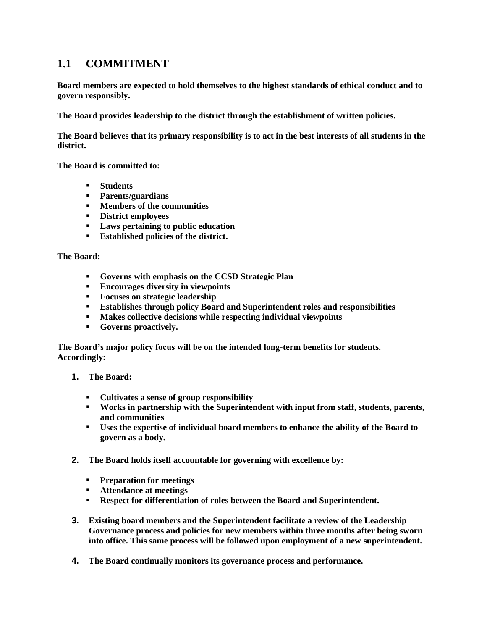### **1.1 COMMITMENT**

**Board members are expected to hold themselves to the highest standards of ethical conduct and to govern responsibly.**

**The Board provides leadership to the district through the establishment of written policies.**

**The Board believes that its primary responsibility is to act in the best interests of all students in the district.**

**The Board is committed to:**

- **Students**
- **Parents/guardians**
- **Members of the communities**
- **District employees**
- **Laws pertaining to public education**
- **Established policies of the district.**

**The Board:**

- **Governs with emphasis on the CCSD Strategic Plan**
- **Encourages diversity in viewpoints**
- **Focuses on strategic leadership**
- **Establishes through policy Board and Superintendent roles and responsibilities**
- **Makes collective decisions while respecting individual viewpoints**
- **Governs proactively.**

**The Board's major policy focus will be on the intended long-term benefits for students. Accordingly:**

- **1. The Board:**
	- **Cultivates a sense of group responsibility**
	- **Works in partnership with the Superintendent with input from staff, students, parents, and communities**
	- **Uses the expertise of individual board members to enhance the ability of the Board to govern as a body.**
- **2. The Board holds itself accountable for governing with excellence by:**
	- **Preparation for meetings**
	- **Attendance at meetings**
	- **Respect for differentiation of roles between the Board and Superintendent.**
- **3. Existing board members and the Superintendent facilitate a review of the Leadership Governance process and policies for new members within three months after being sworn into office. This same process will be followed upon employment of a new superintendent.**
- **4. The Board continually monitors its governance process and performance.**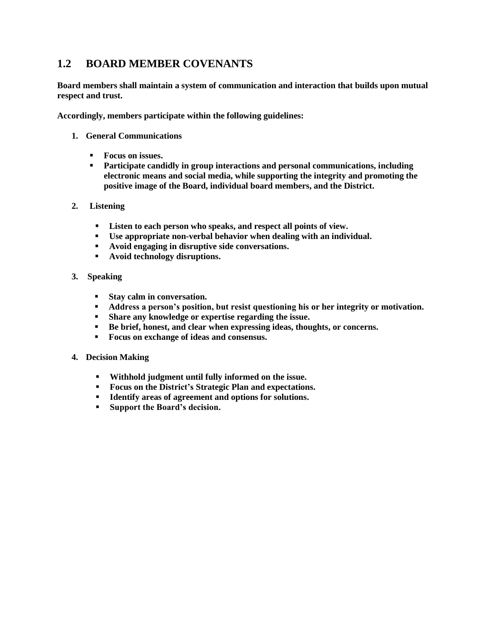## **1.2 BOARD MEMBER COVENANTS**

**Board members shall maintain a system of communication and interaction that builds upon mutual respect and trust.**

**Accordingly, members participate within the following guidelines:**

- **1. General Communications**
	- **Focus on issues.**
	- **Participate candidly in group interactions and personal communications, including electronic means and social media, while supporting the integrity and promoting the positive image of the Board, individual board members, and the District.**
- **2. Listening**
	- **Listen to each person who speaks, and respect all points of view.**
	- **Use appropriate non-verbal behavior when dealing with an individual.**
	- **Avoid engaging in disruptive side conversations.**
	- **Avoid technology disruptions.**
- **3. Speaking**
	- **Stay calm in conversation.**
	- **Address a person's position, but resist questioning his or her integrity or motivation.**
	- **Share any knowledge or expertise regarding the issue.**
	- **Be brief, honest, and clear when expressing ideas, thoughts, or concerns.**
	- **Focus on exchange of ideas and consensus.**
- **4. Decision Making**
	- **Withhold judgment until fully informed on the issue.**
	- **Focus on the District's Strategic Plan and expectations.**
	- **Identify areas of agreement and options for solutions.**
	- **Support the Board's decision.**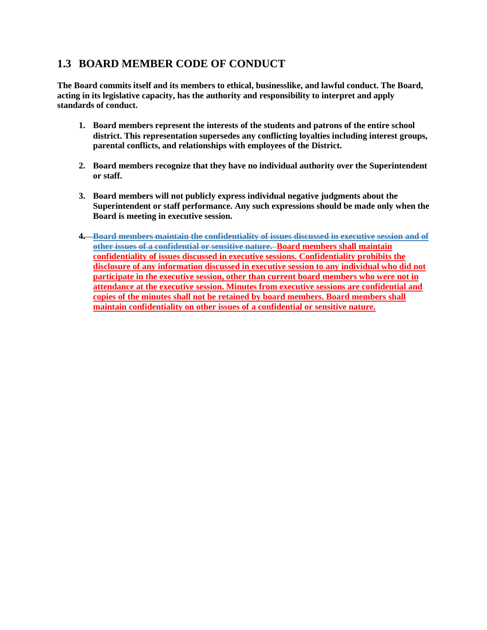# **1.3 BOARD MEMBER CODE OF CONDUCT**

**The Board commits itself and its members to ethical, businesslike, and lawful conduct. The Board, acting in its legislative capacity, has the authority and responsibility to interpret and apply standards of conduct.** 

- **1. Board members represent the interests of the students and patrons of the entire school district. This representation supersedes any conflicting loyalties including interest groups, parental conflicts, and relationships with employees of the District.**
- **2. Board members recognize that they have no individual authority over the Superintendent or staff.**
- **3. Board members will not publicly express individual negative judgments about the Superintendent or staff performance. Any such expressions should be made only when the Board is meeting in executive session.**
- **4. Board members maintain the confidentiality of issues discussed in executive session and of other issues of a confidential or sensitive nature. Board members shall maintain confidentiality of issues discussed in executive sessions. Confidentiality prohibits the disclosure of any information discussed in executive session to any individual who did not participate in the executive session, other than current board members who were not in attendance at the executive session. Minutes from executive sessions are confidential and copies of the minutes shall not be retained by board members. Board members shall maintain confidentiality on other issues of a confidential or sensitive nature.**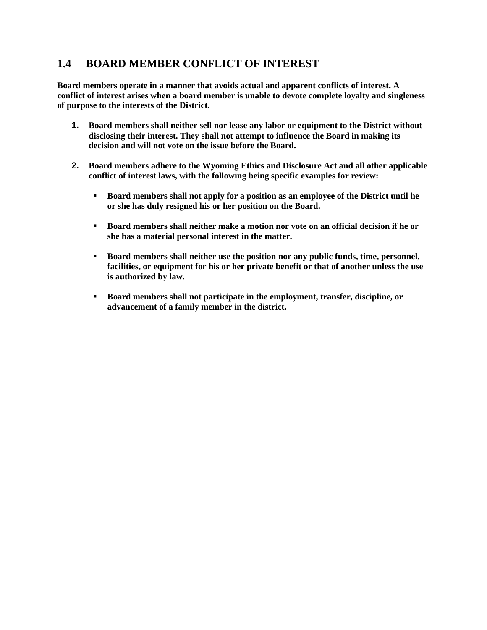### **1.4 BOARD MEMBER CONFLICT OF INTEREST**

**Board members operate in a manner that avoids actual and apparent conflicts of interest. A conflict of interest arises when a board member is unable to devote complete loyalty and singleness of purpose to the interests of the District.**

- **1. Board members shall neither sell nor lease any labor or equipment to the District without disclosing their interest. They shall not attempt to influence the Board in making its decision and will not vote on the issue before the Board.**
- **2. Board members adhere to the Wyoming Ethics and Disclosure Act and all other applicable conflict of interest laws, with the following being specific examples for review:**
	- **Board members shall not apply for a position as an employee of the District until he or she has duly resigned his or her position on the Board.**
	- **Board members shall neither make a motion nor vote on an official decision if he or she has a material personal interest in the matter.**
	- **Board members shall neither use the position nor any public funds, time, personnel, facilities, or equipment for his or her private benefit or that of another unless the use is authorized by law.**
	- **Board members shall not participate in the employment, transfer, discipline, or advancement of a family member in the district.**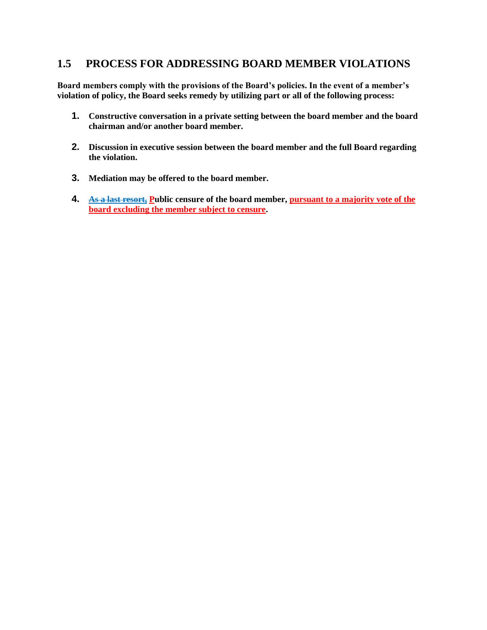#### **1.5 PROCESS FOR ADDRESSING BOARD MEMBER VIOLATIONS**

**Board members comply with the provisions of the Board's policies. In the event of a member's violation of policy, the Board seeks remedy by utilizing part or all of the following process:**

- **1. Constructive conversation in a private setting between the board member and the board chairman and/or another board member.**
- **2. Discussion in executive session between the board member and the full Board regarding the violation.**
- **3. Mediation may be offered to the board member.**
- **4. As a last resort, Public censure of the board member, pursuant to a majority vote of the board excluding the member subject to censure.**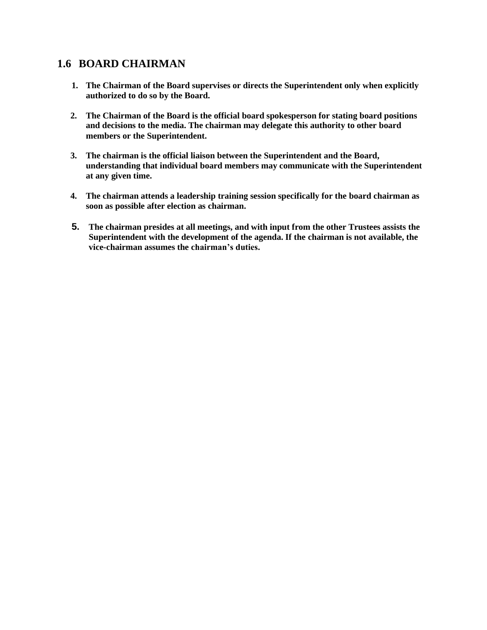### **1.6 BOARD CHAIRMAN**

- **1. The Chairman of the Board supervises or directs the Superintendent only when explicitly authorized to do so by the Board.**
- **2. The Chairman of the Board is the official board spokesperson for stating board positions and decisions to the media. The chairman may delegate this authority to other board members or the Superintendent.**
- **3. The chairman is the official liaison between the Superintendent and the Board, understanding that individual board members may communicate with the Superintendent at any given time.**
- **4. The chairman attends a leadership training session specifically for the board chairman as soon as possible after election as chairman.**
- **5. The chairman presides at all meetings, and with input from the other Trustees assists the Superintendent with the development of the agenda. If the chairman is not available, the vice-chairman assumes the chairman's duties.**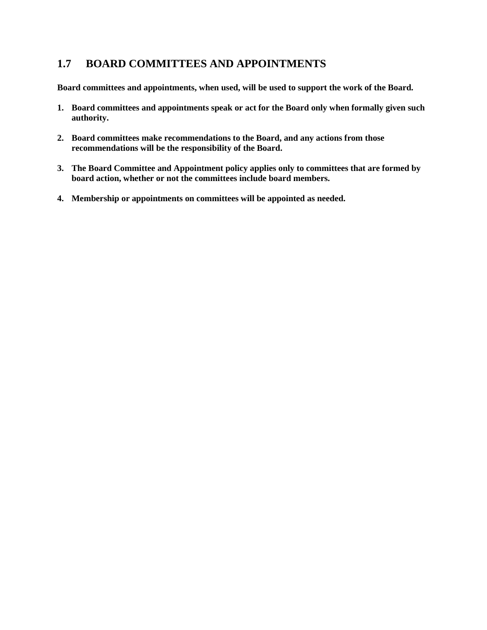## **1.7 BOARD COMMITTEES AND APPOINTMENTS**

**Board committees and appointments, when used, will be used to support the work of the Board.**

- **1. Board committees and appointments speak or act for the Board only when formally given such authority.**
- **2. Board committees make recommendations to the Board, and any actions from those recommendations will be the responsibility of the Board.**
- **3. The Board Committee and Appointment policy applies only to committees that are formed by board action, whether or not the committees include board members.**
- **4. Membership or appointments on committees will be appointed as needed.**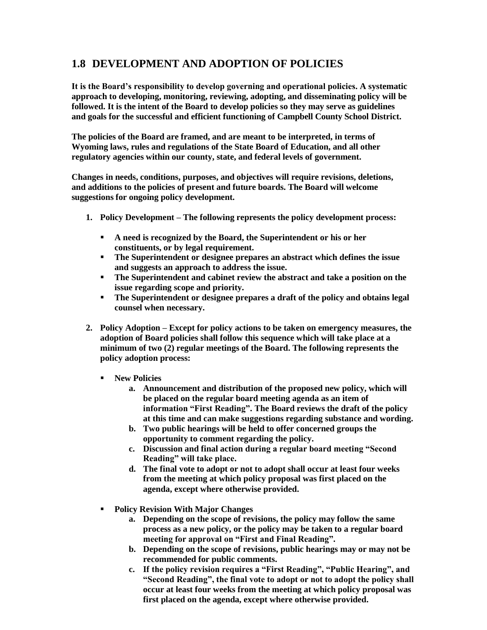# **1.8 DEVELOPMENT AND ADOPTION OF POLICIES**

**It is the Board's responsibility to develop governing and operational policies. A systematic approach to developing, monitoring, reviewing, adopting, and disseminating policy will be followed. It is the intent of the Board to develop policies so they may serve as guidelines and goals for the successful and efficient functioning of Campbell County School District.**

**The policies of the Board are framed, and are meant to be interpreted, in terms of Wyoming laws, rules and regulations of the State Board of Education, and all other regulatory agencies within our county, state, and federal levels of government.**

**Changes in needs, conditions, purposes, and objectives will require revisions, deletions, and additions to the policies of present and future boards. The Board will welcome suggestions for ongoing policy development.**

- **1. Policy Development – The following represents the policy development process:**
	- **A need is recognized by the Board, the Superintendent or his or her constituents, or by legal requirement.**
	- **The Superintendent or designee prepares an abstract which defines the issue and suggests an approach to address the issue.**
	- **The Superintendent and cabinet review the abstract and take a position on the issue regarding scope and priority.**
	- **The Superintendent or designee prepares a draft of the policy and obtains legal counsel when necessary.**
- **2. Policy Adoption – Except for policy actions to be taken on emergency measures, the adoption of Board policies shall follow this sequence which will take place at a minimum of two (2) regular meetings of the Board. The following represents the policy adoption process:**
	- **New Policies**
		- **a. Announcement and distribution of the proposed new policy, which will be placed on the regular board meeting agenda as an item of information "First Reading". The Board reviews the draft of the policy at this time and can make suggestions regarding substance and wording.**
		- **b. Two public hearings will be held to offer concerned groups the opportunity to comment regarding the policy.**
		- **c. Discussion and final action during a regular board meeting "Second Reading" will take place.**
		- **d. The final vote to adopt or not to adopt shall occur at least four weeks from the meeting at which policy proposal was first placed on the agenda, except where otherwise provided.**
	- **Policy Revision With Major Changes**
		- **a. Depending on the scope of revisions, the policy may follow the same process as a new policy, or the policy may be taken to a regular board meeting for approval on "First and Final Reading".**
		- **b. Depending on the scope of revisions, public hearings may or may not be recommended for public comments.**
		- **c. If the policy revision requires a "First Reading", "Public Hearing", and "Second Reading", the final vote to adopt or not to adopt the policy shall occur at least four weeks from the meeting at which policy proposal was first placed on the agenda, except where otherwise provided.**